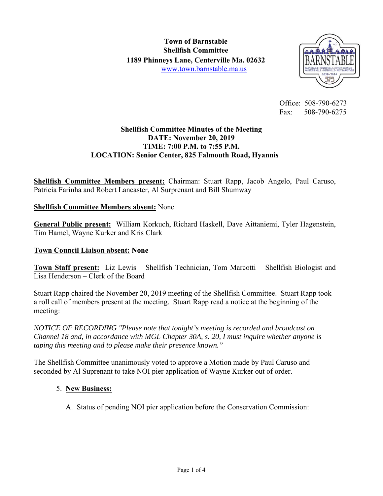

 Office: 508-790-6273 Fax: 508-790-6275

### **Shellfish Committee Minutes of the Meeting DATE: November 20, 2019 TIME: 7:00 P.M. to 7:55 P.M. LOCATION: Senior Center, 825 Falmouth Road, Hyannis**

**Shellfish Committee Members present:** Chairman: Stuart Rapp, Jacob Angelo, Paul Caruso, Patricia Farinha and Robert Lancaster, Al Surprenant and Bill Shumway

### **Shellfish Committee Members absent:** None

**General Public present:** William Korkuch, Richard Haskell, Dave Aittaniemi, Tyler Hagenstein, Tim Hamel, Wayne Kurker and Kris Clark

#### **Town Council Liaison absent: None**

**Town Staff present:** Liz Lewis – Shellfish Technician, Tom Marcotti – Shellfish Biologist and Lisa Henderson – Clerk of the Board

Stuart Rapp chaired the November 20, 2019 meeting of the Shellfish Committee. Stuart Rapp took a roll call of members present at the meeting. Stuart Rapp read a notice at the beginning of the meeting:

*NOTICE OF RECORDING "Please note that tonight's meeting is recorded and broadcast on Channel 18 and, in accordance with MGL Chapter 30A, s. 20, I must inquire whether anyone is taping this meeting and to please make their presence known."* 

The Shellfish Committee unanimously voted to approve a Motion made by Paul Caruso and seconded by Al Suprenant to take NOI pier application of Wayne Kurker out of order.

## 5. **New Business:**

A. Status of pending NOI pier application before the Conservation Commission: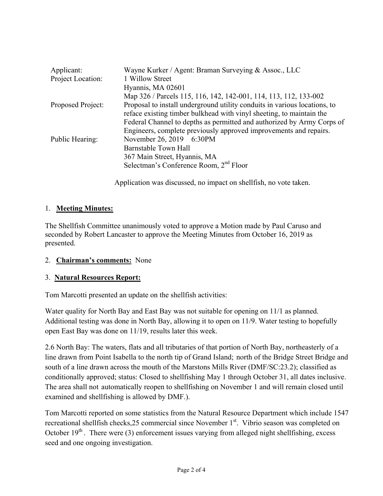| Applicant:        | Wayne Kurker / Agent: Braman Surveying & Assoc., LLC                      |
|-------------------|---------------------------------------------------------------------------|
| Project Location: | 1 Willow Street                                                           |
|                   | Hyannis, MA 02601                                                         |
|                   | Map 326 / Parcels 115, 116, 142, 142-001, 114, 113, 112, 133-002          |
| Proposed Project: | Proposal to install underground utility conduits in various locations, to |
|                   | reface existing timber bulkhead with vinyl sheeting, to maintain the      |
|                   | Federal Channel to depths as permitted and authorized by Army Corps of    |
|                   | Engineers, complete previously approved improvements and repairs.         |
| Public Hearing:   | November 26, 2019 6:30PM                                                  |
|                   | Barnstable Town Hall                                                      |
|                   | 367 Main Street, Hyannis, MA                                              |
|                   | Selectman's Conference Room, 2 <sup>nd</sup> Floor                        |
|                   |                                                                           |

Application was discussed, no impact on shellfish, no vote taken.

#### 1. **Meeting Minutes:**

The Shellfish Committee unanimously voted to approve a Motion made by Paul Caruso and seconded by Robert Lancaster to approve the Meeting Minutes from October 16, 2019 as presented.

#### 2. **Chairman's comments:** None

#### 3. **Natural Resources Report:**

Tom Marcotti presented an update on the shellfish activities:

Water quality for North Bay and East Bay was not suitable for opening on 11/1 as planned. Additional testing was done in North Bay, allowing it to open on 11/9. Water testing to hopefully open East Bay was done on 11/19, results later this week.

2.6 North Bay: The waters, flats and all tributaries of that portion of North Bay, northeasterly of a line drawn from Point Isabella to the north tip of Grand Island; north of the Bridge Street Bridge and south of a line drawn across the mouth of the Marstons Mills River (DMF/SC:23.2); classified as conditionally approved; status: Closed to shellfishing May 1 through October 31, all dates inclusive. The area shall not automatically reopen to shellfishing on November 1 and will remain closed until examined and shellfishing is allowed by DMF.).

Tom Marcotti reported on some statistics from the Natural Resource Department which include 1547 recreational shellfish checks, 25 commercial since November 1<sup>st</sup>. Vibrio season was completed on October  $19<sup>th</sup>$ . There were (3) enforcement issues varying from alleged night shellfishing, excess seed and one ongoing investigation.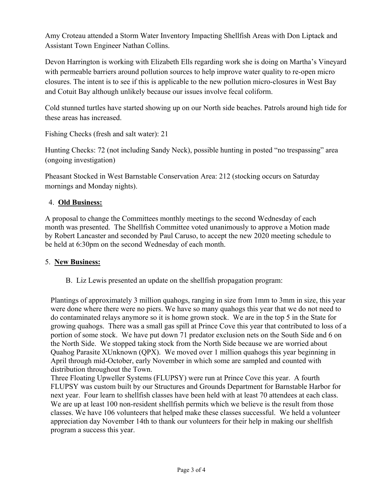Amy Croteau attended a Storm Water Inventory Impacting Shellfish Areas with Don Liptack and Assistant Town Engineer Nathan Collins.

Devon Harrington is working with Elizabeth Ells regarding work she is doing on Martha's Vineyard with permeable barriers around pollution sources to help improve water quality to re-open micro closures. The intent is to see if this is applicable to the new pollution micro-closures in West Bay and Cotuit Bay although unlikely because our issues involve fecal coliform.

Cold stunned turtles have started showing up on our North side beaches. Patrols around high tide for these areas has increased.

Fishing Checks (fresh and salt water): 21

Hunting Checks: 72 (not including Sandy Neck), possible hunting in posted "no trespassing" area (ongoing investigation)

Pheasant Stocked in West Barnstable Conservation Area: 212 (stocking occurs on Saturday mornings and Monday nights).

## 4. **Old Business:**

A proposal to change the Committees monthly meetings to the second Wednesday of each month was presented. The Shellfish Committee voted unanimously to approve a Motion made by Robert Lancaster and seconded by Paul Caruso, to accept the new 2020 meeting schedule to be held at 6:30pm on the second Wednesday of each month.

#### 5. **New Business:**

B. Liz Lewis presented an update on the shellfish propagation program:

Plantings of approximately 3 million quahogs, ranging in size from 1mm to 3mm in size, this year were done where there were no piers. We have so many quahogs this year that we do not need to do contaminated relays anymore so it is home grown stock. We are in the top 5 in the State for growing quahogs. There was a small gas spill at Prince Cove this year that contributed to loss of a portion of some stock. We have put down 71 predator exclusion nets on the South Side and 6 on the North Side. We stopped taking stock from the North Side because we are worried about Quahog Parasite XUnknown (QPX). We moved over 1 million quahogs this year beginning in April through mid-October, early November in which some are sampled and counted with distribution throughout the Town.

Three Floating Upweller Systems (FLUPSY) were run at Prince Cove this year. A fourth FLUPSY was custom built by our Structures and Grounds Department for Barnstable Harbor for next year. Four learn to shellfish classes have been held with at least 70 attendees at each class. We are up at least 100 non-resident shellfish permits which we believe is the result from those classes. We have 106 volunteers that helped make these classes successful. We held a volunteer appreciation day November 14th to thank our volunteers for their help in making our shellfish program a success this year.